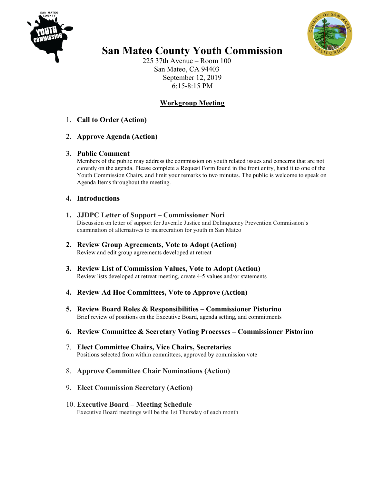



# **San Mateo County Youth Commission**

225 37th Avenue – Room 100 San Mateo, CA 94403 September 12, 2019 6:15-8:15 PM

# **Workgroup Meeting**

- 1. **Call to Order (Action)**
- 2. **Approve Agenda (Action)**

# 3. **Public Comment**

Members of the public may address the commission on youth related issues and concerns that are not currently on the agenda. Please complete a Request Form found in the front entry, hand it to one of the Youth Commission Chairs, and limit your remarks to two minutes. The public is welcome to speak on Agenda Items throughout the meeting.

- **4. Introductions**
- **1. JJDPC Letter of Support – Commissioner Nori** Discussion on letter of support for Juvenile Justice and Delinquency Prevention Commission's examination of alternatives to incarceration for youth in San Mateo
- **2. Review Group Agreements, Vote to Adopt (Action)** Review and edit group agreements developed at retreat
- **3. Review List of Commission Values, Vote to Adopt (Action)** Review lists developed at retreat meeting, create 4-5 values and/or statements
- **4. Review Ad Hoc Committees, Vote to Approve (Action)**
- **5. Review Board Roles & Responsibilities – Commissioner Pistorino** Brief review of positions on the Executive Board, agenda setting, and commitments
- **6. Review Committee & Secretary Voting Processes – Commissioner Pistorino**
- 7. **Elect Committee Chairs, Vice Chairs, Secretaries** Positions selected from within committees, approved by commission vote
- 8. **Approve Committee Chair Nominations (Action)**
- 9. **Elect Commission Secretary (Action)**
- 10. **Executive Board – Meeting Schedule** Executive Board meetings will be the 1st Thursday of each month